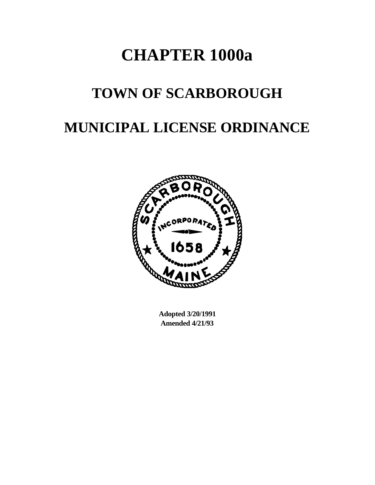# **CHAPTER 1000a**

## **TOWN OF SCARBOROUGH**

## **MUNICIPAL LICENSE ORDINANCE**



**Adopted 3/20/1991 Amended 4/21/93**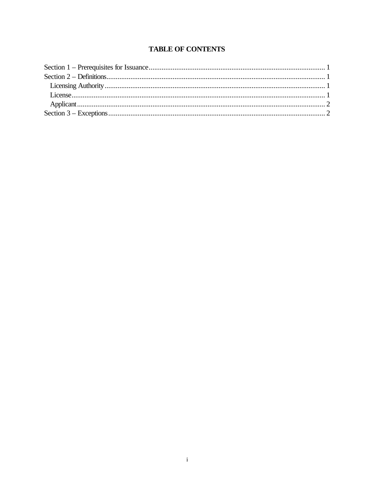## **TABLE OF CONTENTS**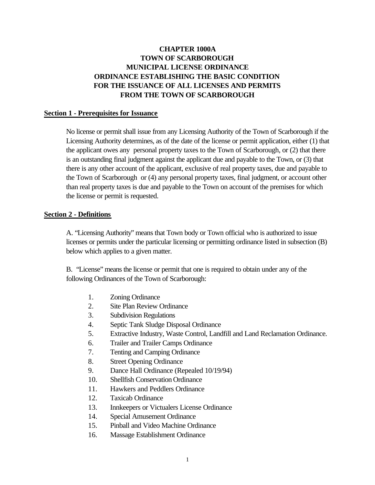### **CHAPTER 1000A TOWN OF SCARBOROUGH MUNICIPAL LICENSE ORDINANCE ORDINANCE ESTABLISHING THE BASIC CONDITION FOR THE ISSUANCE OF ALL LICENSES AND PERMITS FROM THE TOWN OF SCARBOROUGH**

#### **Section 1 - Prerequisites for Issuance**

No license or permit shall issue from any Licensing Authority of the Town of Scarborough if the Licensing Authority determines, as of the date of the license or permit application, either (1) that the applicant owes any personal property taxes to the Town of Scarborough, or (2) that there is an outstanding final judgment against the applicant due and payable to the Town, or (3) that there is any other account of the applicant, exclusive of real property taxes, due and payable to the Town of Scarborough or (4) any personal property taxes, final judgment, or account other than real property taxes is due and payable to the Town on account of the premises for which the license or permit is requested.

#### **Section 2 - Definitions**

A. "Licensing Authority" means that Town body or Town official who is authorized to issue licenses or permits under the particular licensing or permitting ordinance listed in subsection (B) below which applies to a given matter.

B. "License" means the license or permit that one is required to obtain under any of the following Ordinances of the Town of Scarborough:

- 1. Zoning Ordinance
- 2. Site Plan Review Ordinance
- 3. Subdivision Regulations
- 4. Septic Tank Sludge Disposal Ordinance
- 5. Extractive Industry, Waste Control, Landfill and Land Reclamation Ordinance.
- 6. Trailer and Trailer Camps Ordinance
- 7. Tenting and Camping Ordinance
- 8. Street Opening Ordinance
- 9. Dance Hall Ordinance (Repealed 10/19/94)
- 10. Shellfish Conservation Ordinance
- 11. Hawkers and Peddlers Ordinance
- 12. Taxicab Ordinance
- 13. Innkeepers or Victualers License Ordinance
- 14. Special Amusement Ordinance
- 15. Pinball and Video Machine Ordinance
- 16. Massage Establishment Ordinance